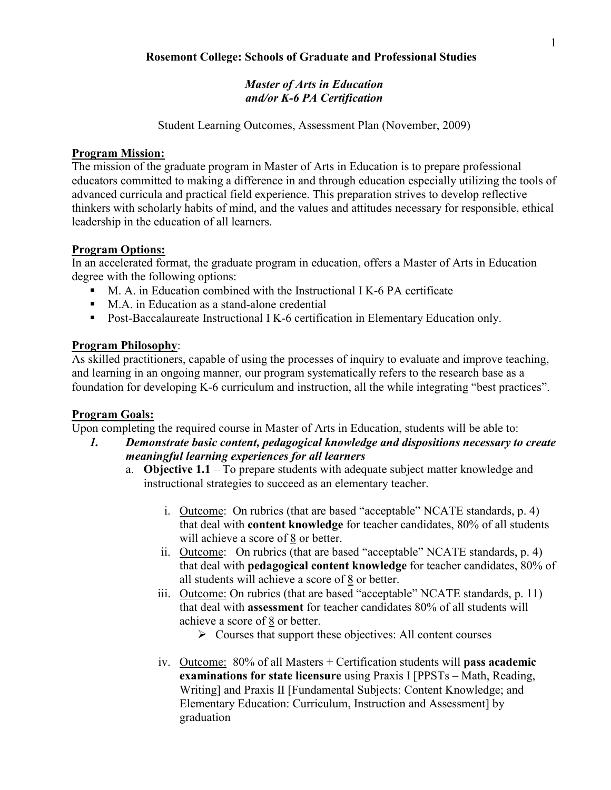# Master of Arts in Education and/or K-6 PA Certification

Student Learning Outcomes, Assessment Plan (November, 2009)

#### Program Mission:

The mission of the graduate program in Master of Arts in Education is to prepare professional educators committed to making a difference in and through education especially utilizing the tools of advanced curricula and practical field experience. This preparation strives to develop reflective thinkers with scholarly habits of mind, and the values and attitudes necessary for responsible, ethical leadership in the education of all learners.

### Program Options:

In an accelerated format, the graduate program in education, offers a Master of Arts in Education degree with the following options:

- M. A. in Education combined with the Instructional I K-6 PA certificate
- M.A. in Education as a stand-alone credential
- Post-Baccalaureate Instructional I K-6 certification in Elementary Education only.

### Program Philosophy:

As skilled practitioners, capable of using the processes of inquiry to evaluate and improve teaching, and learning in an ongoing manner, our program systematically refers to the research base as a foundation for developing K-6 curriculum and instruction, all the while integrating "best practices".

### Program Goals:

Upon completing the required course in Master of Arts in Education, students will be able to:

- 1. Demonstrate basic content, pedagogical knowledge and dispositions necessary to create meaningful learning experiences for all learners
	- a. Objective 1.1 To prepare students with adequate subject matter knowledge and instructional strategies to succeed as an elementary teacher.
		- i. Outcome: On rubrics (that are based "acceptable" NCATE standards, p. 4) that deal with content knowledge for teacher candidates, 80% of all students will achieve a score of 8 or better.
		- ii. Outcome: On rubrics (that are based "acceptable" NCATE standards, p. 4) that deal with pedagogical content knowledge for teacher candidates, 80% of all students will achieve a score of 8 or better.
		- iii. Outcome: On rubrics (that are based "acceptable" NCATE standards, p. 11) that deal with assessment for teacher candidates 80% of all students will achieve a score of 8 or better.
			- > Courses that support these objectives: All content courses
		- iv. Outcome: 80% of all Masters + Certification students will pass academic examinations for state licensure using Praxis I [PPSTs – Math, Reading, Writing] and Praxis II [Fundamental Subjects: Content Knowledge; and Elementary Education: Curriculum, Instruction and Assessment] by graduation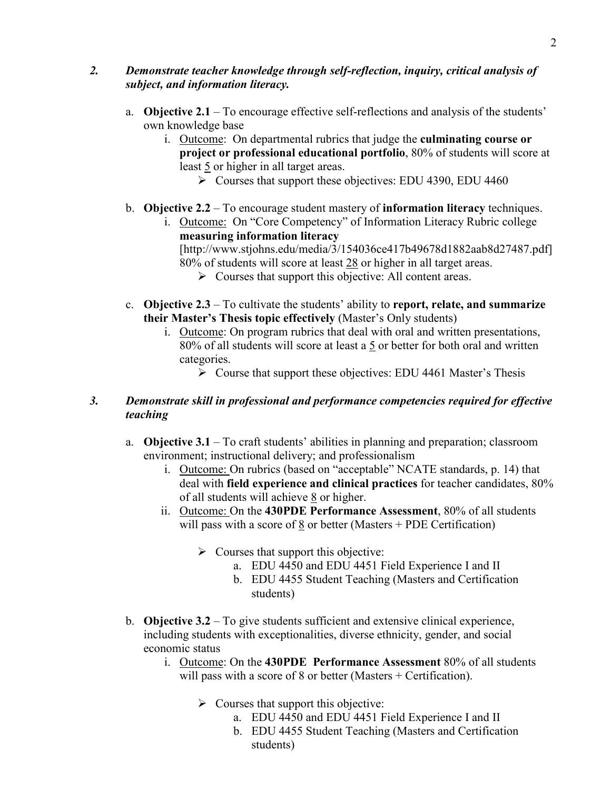# 2. Demonstrate teacher knowledge through self-reflection, inquiry, critical analysis of subject, and information literacy.

- a. Objective 2.1 To encourage effective self-reflections and analysis of the students' own knowledge base
	- i. Outcome: On departmental rubrics that judge the culminating course or project or professional educational portfolio, 80% of students will score at least 5 or higher in all target areas.
		- $\triangleright$  Courses that support these objectives: EDU 4390, EDU 4460
- b. Objective 2.2 To encourage student mastery of information literacy techniques.
	- i. Outcome: On "Core Competency" of Information Literacy Rubric college measuring information literacy [http://www.stjohns.edu/media/3/154036ce417b49678d1882aab8d27487.pdf] 80% of students will score at least 28 or higher in all target areas. > Courses that support this objective: All content areas.
- c. Objective  $2.3 T_0$  cultivate the students' ability to report, relate, and summarize their Master's Thesis topic effectively (Master's Only students)
	- i. Outcome: On program rubrics that deal with oral and written presentations, 80% of all students will score at least a 5 or better for both oral and written categories.
		- ▶ Course that support these objectives: EDU 4461 Master's Thesis

# 3. Demonstrate skill in professional and performance competencies required for effective teaching

- a. Objective 3.1 To craft students' abilities in planning and preparation; classroom environment; instructional delivery; and professionalism
	- i. Outcome: On rubrics (based on "acceptable" NCATE standards, p. 14) that deal with field experience and clinical practices for teacher candidates, 80% of all students will achieve 8 or higher.
	- ii. Outcome: On the 430PDE Performance Assessment, 80% of all students will pass with a score of 8 or better (Masters + PDE Certification)
		- > Courses that support this objective:
			- a. EDU 4450 and EDU 4451 Field Experience I and II
			- b. EDU 4455 Student Teaching (Masters and Certification students)
- b. Objective 3.2 To give students sufficient and extensive clinical experience, including students with exceptionalities, diverse ethnicity, gender, and social economic status
	- i. Outcome: On the 430PDE Performance Assessment 80% of all students will pass with a score of 8 or better (Masters + Certification).
		- > Courses that support this objective:
			- a. EDU 4450 and EDU 4451 Field Experience I and II
			- b. EDU 4455 Student Teaching (Masters and Certification students)